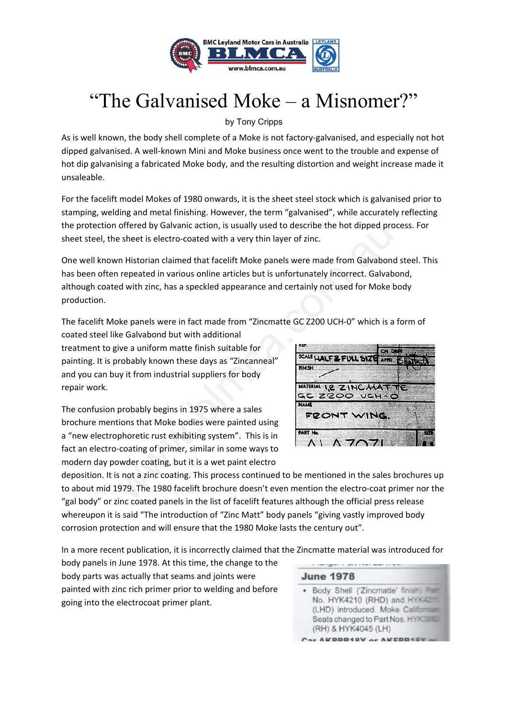

## "The Galvanised Moke – a Misnomer?"

by Tony Cripps

As is well known, the body shell complete of a Moke is not factory-galvanised, and especially not hot dipped galvanised. A well-known Mini and Moke business once went to the trouble and expense of hot dip galvanising a fabricated Moke body, and the resulting distortion and weight increase made it unsaleable.

For the facelift model Mokes of 1980 onwards, it is the sheet steel stock which is galvanised prior to stamping, welding and metal finishing. However, the term "galvanised", while accurately reflecting the protection offered by Galvanic action, is usually used to describe the hot dipped process. For sheet steel, the sheet is electro‐coated with a very thin layer of zinc.

One well known Historian claimed that facelift Moke panels were made from Galvabond steel. This has been often repeated in various online articles but is unfortunately incorrect. Galvabond, although coated with zinc, has a speckled appearance and certainly not used for Moke body production. offered by Galvanic action, is usually used to describe the hot dipped pro-<br>
sheet is electro-coated with a very thin layer of zinc.<br>
In Historian claimed that facelift Moke panels were made from Galvabonn<br>
repeated in va

The facelift Moke panels were in fact made from "Zincmatte GC Z200 UCH‐0" which is a form of

coated steel like Galvabond but with additional treatment to give a uniform matte finish suitable for painting. It is probably known these days as "Zincanneal" and you can buy it from industrial suppliers for body repair work.

The confusion probably begins in 1975 where a sales brochure mentions that Moke bodies were painted using a "new electrophoretic rust exhibiting system". This is in fact an electro‐coating of primer, similar in some ways to modern day powder coating, but it is a wet paint electro



deposition. It is not a zinc coating. This process continued to be mentioned in the sales brochures up to about mid 1979. The 1980 facelift brochure doesn't even mention the electro-coat primer nor the "gal body" or zinc coated panels in the list of facelift features although the official press release whereupon it is said "The introduction of "Zinc Matt" body panels "giving vastly improved body corrosion protection and will ensure that the 1980 Moke lasts the century out".

In a more recent publication, it is incorrectly claimed that the Zincmatte material was introduced for

body panels in June 1978. At this time, the change to the body parts was actually that seams and joints were painted with zinc rich primer prior to welding and before going into the electrocoat primer plant.

**June 1978** . Body Shell ('Zincmatte' finish) Fam No. HYK4210 (RHD) and HYK4 (LHD) introduced. Moke Californian Seats changed to Part Nos. HYK35 (RH) & HYK4045 (LH) Car AKDDR4RY or AKEDR4R

a consequent a sensitive